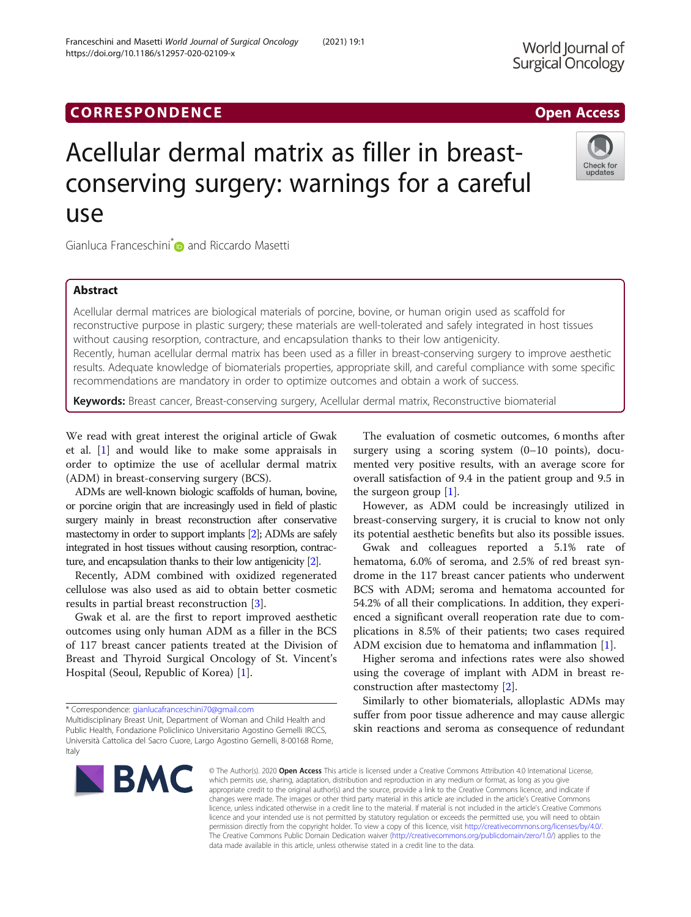# **CORRESPONDENCE CORRESPONDENCE CORRESPONDENCE**

# Acellular dermal matrix as filler in breastconserving surgery: warnings for a careful use

Gianluca Franceschini<sup>[\\*](https://orcid.org/0000-0002-2950-3395)</sup> and Riccardo Masetti

# Abstract

Acellular dermal matrices are biological materials of porcine, bovine, or human origin used as scaffold for reconstructive purpose in plastic surgery; these materials are well-tolerated and safely integrated in host tissues without causing resorption, contracture, and encapsulation thanks to their low antigenicity.

Recently, human acellular dermal matrix has been used as a filler in breast-conserving surgery to improve aesthetic results. Adequate knowledge of biomaterials properties, appropriate skill, and careful compliance with some specific recommendations are mandatory in order to optimize outcomes and obtain a work of success.

Keywords: Breast cancer, Breast-conserving surgery, Acellular dermal matrix, Reconstructive biomaterial

We read with great interest the original article of Gwak et al. [[1\]](#page-1-0) and would like to make some appraisals in order to optimize the use of acellular dermal matrix (ADM) in breast-conserving surgery (BCS).

ADMs are well-known biologic scaffolds of human, bovine, or porcine origin that are increasingly used in field of plastic surgery mainly in breast reconstruction after conservative mastectomy in order to support implants [\[2\]](#page-1-0); ADMs are safely integrated in host tissues without causing resorption, contracture, and encapsulation thanks to their low antigenicity [\[2](#page-1-0)].

Recently, ADM combined with oxidized regenerated cellulose was also used as aid to obtain better cosmetic results in partial breast reconstruction [\[3](#page-1-0)].

Gwak et al. are the first to report improved aesthetic outcomes using only human ADM as a filler in the BCS of 117 breast cancer patients treated at the Division of Breast and Thyroid Surgical Oncology of St. Vincent's Hospital (Seoul, Republic of Korea) [\[1](#page-1-0)].

**BMC** 

© The Author(s), 2020 **Open Access** This article is licensed under a Creative Commons Attribution 4.0 International License, which permits use, sharing, adaptation, distribution and reproduction in any medium or format, as long as you give appropriate credit to the original author(s) and the source, provide a link to the Creative Commons licence, and indicate if changes were made. The images or other third party material in this article are included in the article's Creative Commons licence, unless indicated otherwise in a credit line to the material. If material is not included in the article's Creative Commons licence and your intended use is not permitted by statutory regulation or exceeds the permitted use, you will need to obtain permission directly from the copyright holder. To view a copy of this licence, visit [http://creativecommons.org/licenses/by/4.0/.](http://creativecommons.org/licenses/by/4.0/) The Creative Commons Public Domain Dedication waiver [\(http://creativecommons.org/publicdomain/zero/1.0/](http://creativecommons.org/publicdomain/zero/1.0/)) applies to the data made available in this article, unless otherwise stated in a credit line to the data.

Franceschini and Masetti World Journal of Surgical Oncology (2021) 19:1 https://doi.org/10.1186/s12957-020-02109-x

> surgery using a scoring system (0–10 points), documented very positive results, with an average score for overall satisfaction of 9.4 in the patient group and 9.5 in the surgeon group  $[1]$ . However, as ADM could be increasingly utilized in

The evaluation of cosmetic outcomes, 6 months after

breast-conserving surgery, it is crucial to know not only its potential aesthetic benefits but also its possible issues.

Gwak and colleagues reported a 5.1% rate of hematoma, 6.0% of seroma, and 2.5% of red breast syndrome in the 117 breast cancer patients who underwent BCS with ADM; seroma and hematoma accounted for 54.2% of all their complications. In addition, they experienced a significant overall reoperation rate due to complications in 8.5% of their patients; two cases required ADM excision due to hematoma and inflammation [[1\]](#page-1-0).

Higher seroma and infections rates were also showed using the coverage of implant with ADM in breast reconstruction after mastectomy [[2\]](#page-1-0).

Similarly to other biomaterials, alloplastic ADMs may suffer from poor tissue adherence and may cause allergic skin reactions and seroma as consequence of redundant







<sup>\*</sup> Correspondence: [gianlucafranceschini70@gmail.com](mailto:gianlucafranceschini70@gmail.com)

Multidisciplinary Breast Unit, Department of Woman and Child Health and Public Health, Fondazione Policlinico Universitario Agostino Gemelli IRCCS, Università Cattolica del Sacro Cuore, Largo Agostino Gemelli, 8-00168 Rome, Italy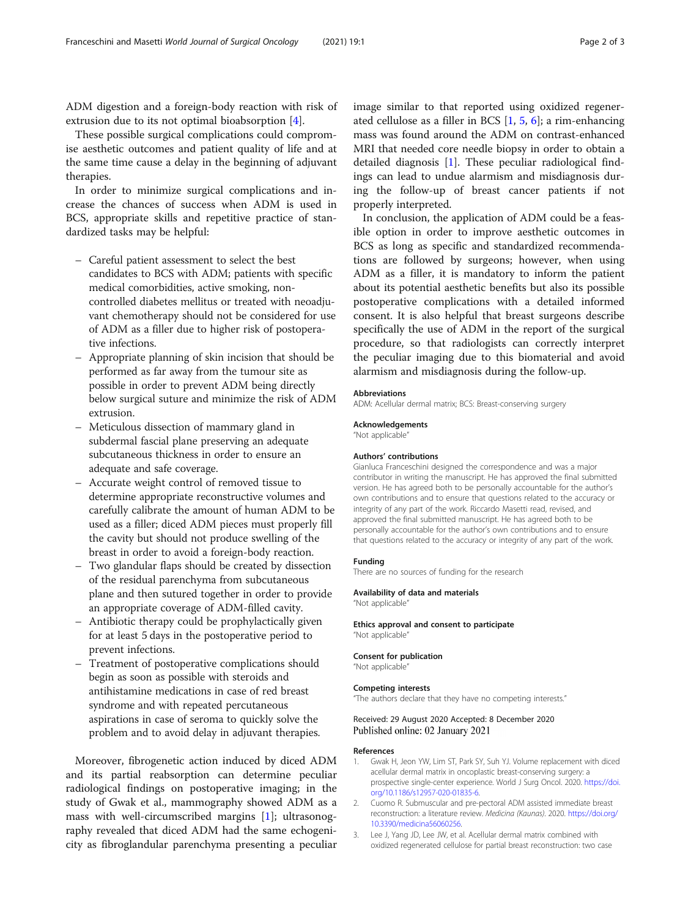<span id="page-1-0"></span>ADM digestion and a foreign-body reaction with risk of extrusion due to its not optimal bioabsorption [[4\]](#page-2-0).

These possible surgical complications could compromise aesthetic outcomes and patient quality of life and at the same time cause a delay in the beginning of adjuvant therapies.

In order to minimize surgical complications and increase the chances of success when ADM is used in BCS, appropriate skills and repetitive practice of standardized tasks may be helpful:

- Careful patient assessment to select the best candidates to BCS with ADM; patients with specific medical comorbidities, active smoking, noncontrolled diabetes mellitus or treated with neoadjuvant chemotherapy should not be considered for use of ADM as a filler due to higher risk of postoperative infections.
- Appropriate planning of skin incision that should be performed as far away from the tumour site as possible in order to prevent ADM being directly below surgical suture and minimize the risk of ADM extrusion.
- Meticulous dissection of mammary gland in subdermal fascial plane preserving an adequate subcutaneous thickness in order to ensure an adequate and safe coverage.
- Accurate weight control of removed tissue to determine appropriate reconstructive volumes and carefully calibrate the amount of human ADM to be used as a filler; diced ADM pieces must properly fill the cavity but should not produce swelling of the breast in order to avoid a foreign-body reaction.
- Two glandular flaps should be created by dissection of the residual parenchyma from subcutaneous plane and then sutured together in order to provide an appropriate coverage of ADM-filled cavity.
- Antibiotic therapy could be prophylactically given for at least 5 days in the postoperative period to prevent infections.
- Treatment of postoperative complications should begin as soon as possible with steroids and antihistamine medications in case of red breast syndrome and with repeated percutaneous aspirations in case of seroma to quickly solve the problem and to avoid delay in adjuvant therapies.

Moreover, fibrogenetic action induced by diced ADM and its partial reabsorption can determine peculiar radiological findings on postoperative imaging; in the study of Gwak et al., mammography showed ADM as a mass with well-circumscribed margins [1]; ultrasonography revealed that diced ADM had the same echogenicity as fibroglandular parenchyma presenting a peculiar

image similar to that reported using oxidized regenerated cellulose as a filler in BCS [1, [5,](#page-2-0) [6\]](#page-2-0); a rim-enhancing mass was found around the ADM on contrast-enhanced MRI that needed core needle biopsy in order to obtain a detailed diagnosis [1]. These peculiar radiological findings can lead to undue alarmism and misdiagnosis during the follow-up of breast cancer patients if not properly interpreted.

In conclusion, the application of ADM could be a feasible option in order to improve aesthetic outcomes in BCS as long as specific and standardized recommendations are followed by surgeons; however, when using ADM as a filler, it is mandatory to inform the patient about its potential aesthetic benefits but also its possible postoperative complications with a detailed informed consent. It is also helpful that breast surgeons describe specifically the use of ADM in the report of the surgical procedure, so that radiologists can correctly interpret the peculiar imaging due to this biomaterial and avoid alarmism and misdiagnosis during the follow-up.

### Abbreviations

ADM: Acellular dermal matrix; BCS: Breast-conserving surgery

#### Acknowledgements

"Not applicable"

#### Authors' contributions

Gianluca Franceschini designed the correspondence and was a major contributor in writing the manuscript. He has approved the final submitted version. He has agreed both to be personally accountable for the author's own contributions and to ensure that questions related to the accuracy or integrity of any part of the work. Riccardo Masetti read, revised, and approved the final submitted manuscript. He has agreed both to be personally accountable for the author's own contributions and to ensure that questions related to the accuracy or integrity of any part of the work.

#### Funding

There are no sources of funding for the research

#### Availability of data and materials

"Not applicable"

Ethics approval and consent to participate "Not applicable"

#### Consent for publication

"Not applicable"

#### Competing interests

"The authors declare that they have no competing interests."

## Received: 29 August 2020 Accepted: 8 December 2020 Published online: 02 January 2021

#### References

- 1. Gwak H, Jeon YW, Lim ST, Park SY, Suh YJ. Volume replacement with diced acellular dermal matrix in oncoplastic breast-conserving surgery: a prospective single-center experience. World J Surg Oncol. 2020. [https://doi.](https://doi.org/10.1186/s12957-020-01835-6) [org/10.1186/s12957-020-01835-6.](https://doi.org/10.1186/s12957-020-01835-6)
- 2. Cuomo R. Submuscular and pre-pectoral ADM assisted immediate breast reconstruction: a literature review. Medicina (Kaunas). 2020. [https://doi.org/](https://doi.org/10.3390/medicina56060256) [10.3390/medicina56060256](https://doi.org/10.3390/medicina56060256).
- 3. Lee J, Yang JD, Lee JW, et al. Acellular dermal matrix combined with oxidized regenerated cellulose for partial breast reconstruction: two case